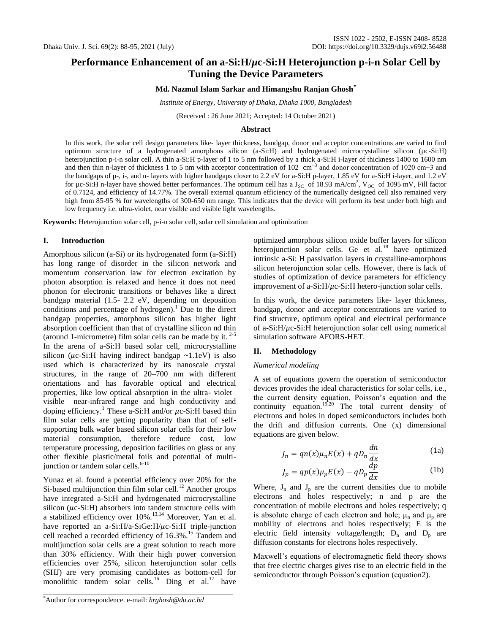# **Performance Enhancement of an a-Si:H/***µ***c-Si:H Heterojunction p-i-n Solar Cell by Tuning the Device Parameters**

## **Md. Nazmul Islam Sarkar and Himangshu Ranjan Ghosh\***

*Institute of Energy, University of Dhaka, Dhaka 1000, Bangladesh*

(Received : 26 June 2021; Accepted: 14 October 2021)

#### **Abstract**

In this work, the solar cell design parameters like- layer thickness, bandgap, donor and acceptor concentrations are varied to find optimum structure of a hydrogenated amorphous silicon (a-Si:H) and hydrogenated microcrystalline silicon (µc-Si:H) heterojunction p-i-n solar cell. A thin a-Si:H p-layer of 1 to 5 nm followed by a thick a-Si:H i-layer of thickness 1400 to 1600 nm and then thin n-layer of thickness 1 to 5 nm with acceptor concentration of 102 cm<sup>-3</sup> and donor concentration of 1020 cm<sup>-3</sup> and the bandgaps of p-, i-, and n- layers with higher bandgaps closer to 2.2 eV for a-Si:H p-layer, 1.85 eV for a-Si:H i-layer, and 1.2 eV for  $\mu$ c-Si:H n-layer have showed better performances. The optimum cell has a  $J_{\rm SC}$  of 18.93 mA/cm<sup>2</sup>, V<sub>OC</sub> of 1095 mV, Fill factor of 0.7124, and efficiency of 14.77%. The overall external quantum efficiency of the numerically designed cell also remained very high from 85-95 % for wavelengths of 300-650 nm range. This indicates that the device will perform its best under both high and low frequency i.e. ultra-violet, near visible and visible light wavelengths.

**Keywords:** Heterojunction solar cell, p-i-n solar cell, solar cell simulation and optimization

#### **I. Introduction**

Amorphous silicon (a-Si) or its hydrogenated form (a-Si:H) has long range of disorder in the silicon network and momentum conservation law for electron excitation by photon absorption is relaxed and hence it does not need phonon for electronic transitions or behaves like a direct bandgap material (1.5- 2.2 eV, depending on deposition conditions and percentage of hydrogen).<sup>1</sup> Due to the direct bandgap properties, amorphous silicon has higher light absorption coefficient than that of crystalline silicon nd thin (around 1-micrometre) film solar cells can be made by it.  $2-5$ In the arena of a-Si:H based solar cell, microcrystalline silicon ( $\mu$ c-Si:H having indirect bandgap ~1.1eV) is also used which is characterized by its nanoscale crystal structures, in the range of 20–700 nm with different orientations and has favorable optical and electrical properties, like low optical absorption in the ultra- violet– visible– near-infrared range and high conductivity and doping efficiency.<sup>1</sup> These a-Si:H and/or  $\mu$ c-Si:H based thin film solar cells are getting popularity than that of selfsupporting bulk wafer based silicon solar cells for their low material consumption, therefore reduce cost, low temperature processing, deposition facilities on glass or any other flexible plastic/metal foils and potential of multijunction or tandem solar cells.<sup>6-10</sup>

Yunaz et al. found a potential efficiency over 20% for the Si-based multijunction thin film solar cell.<sup>12</sup> Another groups have integrated a-Si:H and hydrogenated microcrystalline silicon ( $\mu$ c-Si:H) absorbers into tandem structure cells with a stabilized efficiency over 10%.13,14 Moreover, Yan et al. have reported an a-Si:H/a-SiGe:H/ $\mu$ c-Si:H triple-junction cell reached a recorded efficiency of 16.3%.<sup>15</sup> Tandem and multijunction solar cells are a great solution to reach more than 30% efficiency. With their high power conversion efficiencies over 25%, silicon heterojunction solar cells (SHJ) are very promising candidates as bottom-cell for monolithic tandem solar cells.<sup>16</sup> Ding et al.<sup>17</sup> have optimized amorphous silicon oxide buffer layers for silicon heterojunction solar cells. Ge et al.<sup>18</sup> have optimized intrinsic a-Si: H passivation layers in crystalline-amorphous silicon heterojunction solar cells. However, there is lack of studies of optimization of device parameters for efficiency improvement of a-Si:H/*µ*c-Si:H hetero-junction solar cells.

In this work, the device parameters like- layer thickness, bandgap, donor and acceptor concentrations are varied to find structure, optimum optical and electrical performance of a-Si:H/*µ*c-Si:H heterojunction solar cell using numerical simulation software AFORS-HET.

#### **II. Methodology**

### *Numerical modeling*

A set of equations govern the operation of semiconductor devices provides the ideal characteristics for solar cells, i.e., the current density equation, Poisson's equation and the continuity equation.<sup>19,20</sup> The total current density of electrons and holes in doped semiconductors includes both the drift and diffusion currents. One (x) dimensional equations are given below.

$$
J_n = qn(x)\mu_n E(x) + qD_n \frac{dn}{dx}
$$
 (1a)

$$
J_p = qp(x)\mu_p E(x) - qD_p \frac{dp}{dx}
$$
 (1b)

Where,  $J_n$  and  $J_p$  are the current densities due to mobile electrons and holes respectively; n and p are the concentration of mobile electrons and holes respectively; q is absolute charge of each electron and hole;  $\mu_n$  and  $\mu_p$  are mobility of electrons and holes respectively; E is the electric field intensity voltage/length;  $D_n$  and  $D_p$  are diffusion constants for electrons holes respectively.

Maxwell's equations of electromagnetic field theory shows that free electric charges gives rise to an electric field in the semiconductor through Poisson's equation (equation2).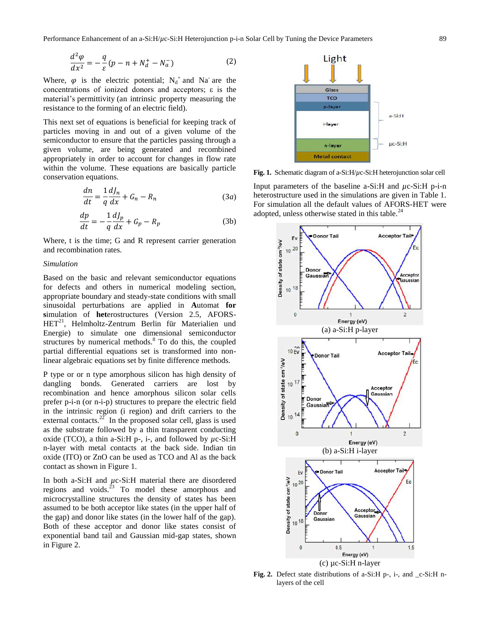$$
\frac{d^2\varphi}{dx^2} = -\frac{q}{\varepsilon}(p - n + N_d^+ - N_a^-)
$$
 (2)

Where,  $\varphi$  is the electric potential;  $N_d^+$  and Na<sup>-</sup> are the concentrations of ionized donors and acceptors; ε is the material's permittivity (an intrinsic property measuring the resistance to the forming of an electric field).

This next set of equations is beneficial for keeping track of particles moving in and out of a given volume of the semiconductor to ensure that the particles passing through a given volume, are being generated and recombined appropriately in order to account for changes in flow rate within the volume. These equations are basically particle conservation equations.

$$
\frac{dn}{dt} = \frac{1}{q}\frac{dJ_n}{dx} + G_n - R_n \tag{3a}
$$

$$
\frac{dp}{dt} = -\frac{1}{q}\frac{dJ_p}{dx} + G_p - R_p \tag{3b}
$$

Where, t is the time; G and R represent carrier generation and recombination rates.

### *Simulation*

Based on the basic and relevant semiconductor equations for defects and others in numerical modeling section, appropriate boundary and steady-state conditions with small sinusoidal perturbations are applied in **A**utomat **for s**imulation of **het**erostructures (Version 2.5, AFORS-HET<sup>21</sup>, Helmholtz-Zentrum Berlin für Materialien und Energie) to simulate one dimensional semiconductor structures by numerical methods.<sup>8</sup> To do this, the coupled partial differential equations set is transformed into nonlinear algebraic equations set by finite difference methods.

P type or or n type amorphous silicon has high density of dangling bonds. Generated carriers are lost by recombination and hence amorphous silicon solar cells prefer p-i-n (or n-i-p) structures to prepare the electric field in the intrinsic region (i region) and drift carriers to the external contacts.<sup>22</sup> In the proposed solar cell, glass is used as the substrate followed by a thin transparent conducting oxide (TCO), a thin a-Si:H p-, i-, and followed by  $\mu$ c-Si:H n-layer with metal contacts at the back side. Indian tin oxide (ITO) or ZnO can be used as TCO and Al as the back contact as shown in Figure 1.

In both a-Si:H and *µ*c-Si:H material there are disordered regions and voids. $23$  To model these amorphous and microcrystalline structures the density of states has been assumed to be both acceptor like states (in the upper half of the gap) and donor like states (in the lower half of the gap). Both of these acceptor and donor like states consist of exponential band tail and Gaussian mid-gap states, shown in Figure 2.



**Fig. 1.** Schematic diagram of a-Si:H/*µ*c-Si:H heterojunction solar cell

Input parameters of the baseline a-Si:H and *µ*c-Si:H p-i-n heterostructure used in the simulations are given in Table 1. For simulation all the default values of AFORS-HET were adopted, unless otherwise stated in this table.<sup>24</sup>



**Fig. 2.** Defect state distributions of a-Si:H p-, i-, and \_c-Si:H nlayers of the cell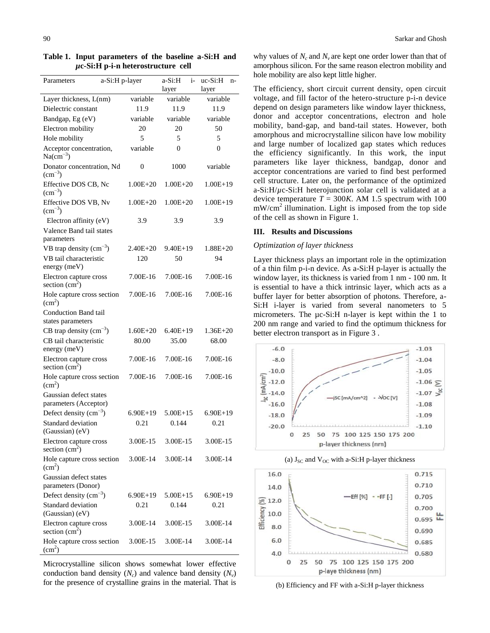| Parameters                                           | a-Si:H p-layer |              | a-Si:H<br>i-<br>layer        | $uc-Si:H$<br>n-<br>layer |  |  |
|------------------------------------------------------|----------------|--------------|------------------------------|--------------------------|--|--|
| Layer thickness, L(nm)                               |                | variable     | variable                     | variable                 |  |  |
| Dielectric constant                                  |                | 11.9         | 11.9                         | 11.9                     |  |  |
| Bandgap, Eg (eV)                                     |                | variable     | variable                     | variable                 |  |  |
| Electron mobility                                    |                | 20           | 20                           | 50                       |  |  |
| Hole mobility                                        |                | 5            | 5                            | 5                        |  |  |
| Acceptor concentration,<br>$Na(cm^{-3})$             |                | variable     | 0                            | 0                        |  |  |
| Donator concentration, Nd<br>$\rm (cm^{-3})$         |                | 0            | 1000                         | variable                 |  |  |
| Effective DOS CB, Nc<br>$\rm (cm^{-3})$              |                | $1.00E + 20$ | $1.00E + 20$<br>$1.00E + 19$ |                          |  |  |
| Effective DOS VB, Nv<br>$\rm (cm^{-3})$              |                | $1.00E + 20$ | $1.00E + 20$                 | $1.00E + 19$             |  |  |
| Electron affinity (eV)                               |                | 3.9          | 3.9                          | 3.9                      |  |  |
| Valence Band tail states<br>parameters               |                |              |                              |                          |  |  |
| VB trap density $(cm-3)$                             |                | $2.40E + 20$ | $9.40E+19$                   | 1.88E+20                 |  |  |
| VB tail characteristic                               |                | 120          | 50                           | 94                       |  |  |
| energy (meV)                                         |                |              |                              |                          |  |  |
| Electron capture cross<br>section $(cm2)$            |                | 7.00E-16     | 7.00E-16                     | 7.00E-16                 |  |  |
| Hole capture cross section<br>$\text{(cm}^2\text{)}$ |                | 7.00E-16     | 7.00E-16                     | 7.00E-16                 |  |  |
| Conduction Band tail                                 |                |              |                              |                          |  |  |
| states parameters                                    |                |              |                              |                          |  |  |
| CB trap density $(cm-3)$                             |                | $1.60E + 20$ | $6.40E+19$                   | $1.36E + 20$             |  |  |
| CB tail characteristic                               |                | 80.00        | 35.00                        | 68.00                    |  |  |
| energy (meV)                                         |                |              |                              |                          |  |  |
| Electron capture cross<br>section $(cm2)$            |                | 7.00E-16     | 7.00E-16                     | 7.00E-16                 |  |  |
| Hole capture cross section<br>$\text{(cm}^2\text{)}$ |                | 7.00E-16     | 7.00E-16                     | 7.00E-16                 |  |  |
| Gaussian defect states                               |                |              |                              |                          |  |  |
| parameters (Acceptor)                                |                |              |                              |                          |  |  |
| Defect density $\text{cm}^{-3}$ )                    |                | $6.90E+19$   | $5.00E + 15$                 | $6.90E+19$               |  |  |
| Standard deviation                                   |                | 0.21         | 0.144                        | 0.21                     |  |  |
| (Gaussian) (eV)                                      |                |              |                              |                          |  |  |
| Electron capture cross<br>section $(cm2)$            |                | 3.00E-15     | 3.00E-15                     | 3.00E-15                 |  |  |
| Hole capture cross section<br>$\text{(cm}^2\text{)}$ |                | 3.00E-14     | 3.00E-14                     | 3.00E-14                 |  |  |
| Gaussian defect states<br>parameters (Donor)         |                |              |                              |                          |  |  |
| Defect density $\rm (cm^{-3})$                       |                | $6.90E+19$   | $5.00E + 15$                 | $6.90E+19$               |  |  |
| Standard deviation                                   |                | 0.21         | 0.144                        | 0.21                     |  |  |
| (Gaussian) (eV)                                      |                |              |                              |                          |  |  |
| Electron capture cross<br>section $(cm2)$            |                | 3.00E-14     | 3.00E-15                     | 3.00E-14                 |  |  |
| Hole capture cross section<br>$\text{(cm}^2\text{)}$ |                | 3.00E-15     | 3.00E-14                     | 3.00E-14                 |  |  |
|                                                      |                |              |                              |                          |  |  |

**Table 1. Input parameters of the baseline a-Si:H and**  *µ***c-Si:H p-i-n heterostructure cell**

Microcrystalline silicon shows somewhat lower effective conduction band density  $(N_c)$  and valence band density  $(N_v)$ for the presence of crystalline grains in the material. That is why values of  $N_c$  and  $N_v$  are kept one order lower than that of amorphous silicon. For the same reason electron mobility and hole mobility are also kept little higher.

The efficiency, short circuit current density, open circuit voltage, and fill factor of the hetero-structure p-i-n device depend on design parameters like window layer thickness, donor and acceptor concentrations, electron and hole mobility, band-gap, and band-tail states. However, both amorphous and microcrystalline silicon have low mobility and large number of localized gap states which reduces the efficiency significantly. In this work, the input parameters like layer thickness, bandgap, donor and acceptor concentrations are varied to find best performed cell structure. Later on, the performance of the optimized a-Si:H/*µ*c-Si:H heterojunction solar cell is validated at a device temperature  $T = 300K$ . AM 1.5 spectrum with 100  $mW/cm<sup>2</sup>$  illumination. Light is imposed from the top side of the cell as shown in Figure 1.

#### **III. Results and Discussions**

#### *Optimization of layer thickness*

Layer thickness plays an important role in the optimization of a thin film p-i-n device. As a-Si:H p-layer is actually the window layer, its thickness is varied from 1 nm - 100 nm. It is essential to have a thick intrinsic layer, which acts as a buffer layer for better absorption of photons. Therefore, a-Si:H i-layer is varied from several nanometers to 5 micrometers. The µc-Si:H n-layer is kept within the 1 to 200 nm range and varied to find the optimum thickness for better electron transport as in Figure 3 .







(b) Efficiency and FF with a-Si:H p-layer thickness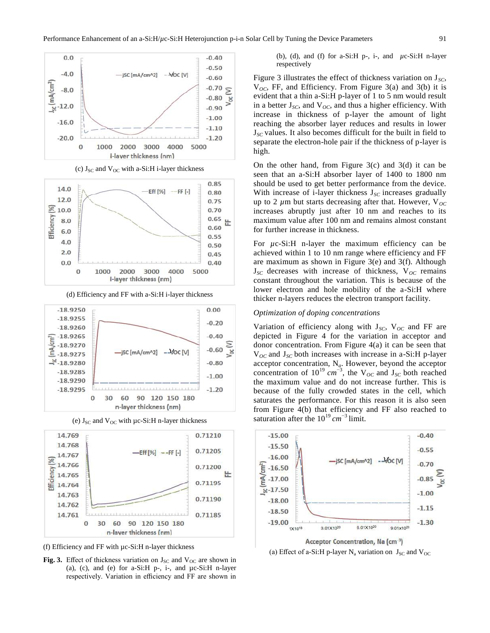

(c)  $J_{SC}$  and  $V_{OC}$  with a-Si:H i-layer thickness



(d) Efficiency and FF with a-Si:H i-layer thickness



(e)  $J_{SC}$  and  $V_{OC}$  with  $\mu$ c-Si:H n-layer thickness



(f) Efficiency and FF with µc-Si:H n-layer thickness

**Fig. 3.** Effect of thickness variation on  $J_{SC}$  and  $V_{OC}$  are shown in (a), (c), and (e) for a-Si: $H$  p-, i-, and  $\mu$ c-Si: $H$  n-layer respectively. Variation in efficiency and FF are shown in

(b), (d), and (f) for a-Si:H p-, i-, and *µ*c-Si:H n-layer respectively

Figure 3 illustrates the effect of thickness variation on  $J_{SC}$ , V*OC*, FF, and Efficiency. From Figure 3(a) and 3(b) it is evident that a thin a-Si:H p-layer of 1 to 5 nm would result in a better  $J_{SC}$ , and  $V_{OC}$ , and thus a higher efficiency. With increase in thickness of p-layer the amount of light reaching the absorber layer reduces and results in lower J*SC* values. It also becomes difficult for the built in field to separate the electron-hole pair if the thickness of p-layer is high.

On the other hand, from Figure  $3(c)$  and  $3(d)$  it can be seen that an a-Si:H absorber layer of 1400 to 1800 nm should be used to get better performance from the device. With increase of i-layer thickness J<sub>SC</sub> increases gradually up to 2  $\mu$ m but starts decreasing after that. However, V<sub>OC</sub> increases abruptly just after 10 nm and reaches to its maximum value after 100 nm and remains almost constant for further increase in thickness.

For  $\mu$ c-Si:H n-layer the maximum efficiency can be achieved within 1 to 10 nm range where efficiency and FF are maximum as shown in Figure 3(e) and 3(f). Although  $J_{SC}$  decreases with increase of thickness,  $V_{OC}$  remains constant throughout the variation. This is because of the lower electron and hole mobility of the a-Si:H where thicker n-layers reduces the electron transport facility.

#### *Optimization of doping concentrations*

Variation of efficiency along with  $J_{SC}$ ,  $V_{OC}$  and FF are depicted in Figure 4 for the variation in acceptor and donor concentration. From Figure 4(a) it can be seen that V*OC* and J*SC* both increases with increase in a-Si:H p-layer acceptor concentration, N*a*. However, beyond the acceptor concentration of  $10^{19}$   $cm^{-3}$ , the V<sub>OC</sub> and J<sub>SC</sub> both reached the maximum value and do not increase further. This is because of the fully crowded states in the cell, which saturates the performance. For this reason it is also seen from Figure 4(b) that efficiency and FF also reached to saturation after the  $10^{19}$  cm<sup>-3</sup> limit.



(a) Effect of a-Si:H p-layer N<sub>a</sub> variation on  $J_{SC}$  and  $V_{OC}$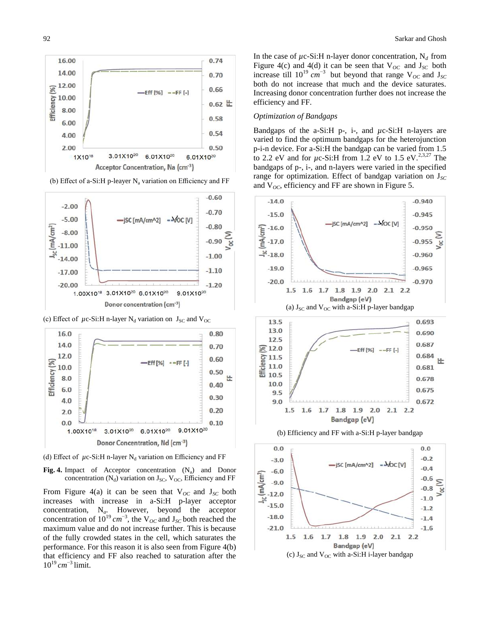







(c) Effect of  $\mu$ c-Si:H n-layer N<sub>d</sub> variation on  $J_{SC}$  and V<sub>OC</sub>



(d) Effect of  $\mu$ c-Si:H n-layer N<sub>d</sub> variation on Efficiency and FF

**Fig. 4.** Impact of Acceptor concentration  $(N_a)$  and Donor concentration  $(N_d)$  variation on  $J_{SC}$ ,  $V_{OC}$ , Efficiency and FF

From Figure 4(a) it can be seen that  $V_{OC}$  and  $J_{SC}$  both increases with increase in a-Si:H p-layer acceptor concentration, N*a*. However, beyond the acceptor concentration of  $10^{19}$  cm<sup>-3</sup>, the V<sub>oC</sub> and J<sub>sC</sub> both reached the maximum value and do not increase further. This is because of the fully crowded states in the cell, which saturates the performance. For this reason it is also seen from Figure 4(b) that efficiency and FF also reached to saturation after the  $10^{19}$  cm<sup>-3</sup> limit.

In the case of  $\mu$ c-Si:H n-layer donor concentration, N<sub>d</sub> from Figure 4(c) and 4(d) it can be seen that  $V_{OC}$  and  $J_{SC}$  both increase till  $10^{19}$   $cm^{-3}$  but beyond that range V<sub>OC</sub> and J<sub>SC</sub> both do not increase that much and the device saturates. Increasing donor concentration further does not increase the efficiency and FF.

## *Optimization of Bandgaps*

Bandgaps of the a-Si:H p-, i-, and *µ*c-Si:H n-layers are varied to find the optimum bandgaps for the heterojunction p-i-n device. For a-Si:H the bandgap can be varied from 1.5 to 2.2 eV and for  $\mu$ c-Si:H from 1.2 eV to 1.5 eV.<sup>2,3,27</sup> The bandgaps of p-, i-, and n-layers were varied in the specified range for optimization. Effect of bandgap variation on  $J_{SC}$ and  $V_{OC}$ , efficiency and FF are shown in Figure 5.

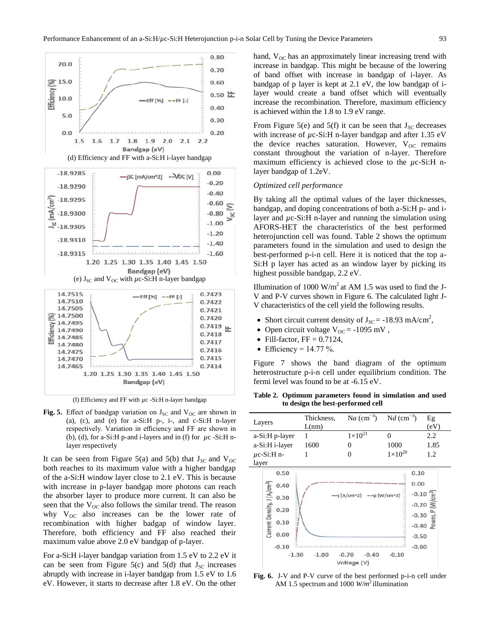

(f) Efficiency and FF with *µ*c -Si:H n-layer bandgap

Fig. 5. Effect of bandgap variation on  $J_{SC}$  and  $V_{OC}$  are shown in (a), (c), and (e) for a-Si:H p-, i-, and c-Si:H n-layer respectively. Variation in efficiency and FF are shown in (b), (d), for a-Si:H p-and i-layers and in (f) for  $\mu$ c -Si:H nlayer respectively

It can be seen from Figure 5(a) and 5(b) that  $J_{SC}$  and  $V_{OC}$ both reaches to its maximum value with a higher bandgap of the a-Si:H window layer close to 2.1 eV. This is because with increase in p-layer bandgap more photons can reach the absorber layer to produce more current. It can also be seen that the  $V_{OC}$  also follows the similar trend. The reason why  $V_{OC}$  also increases can be the lower rate of recombination with higher badgap of window layer. Therefore, both efficiency and FF also reached their maximum value above 2.0 eV bandgap of p-layer.

For a-Si:H i-layer bandgap variation from 1.5 eV to 2.2 eV it can be seen from Figure 5(c) and 5(d) that  $J_{SC}$  increases abruptly with increase in i-layer bandgap from 1.5 eV to 1.6 eV. However, it starts to decrease after 1.8 eV. On the other

hand,  $V_{OC}$  has an approximately linear increasing trend with increase in bandgap. This might be because of the lowering of band offset with increase in bandgap of i-layer. As bandgap of p layer is kept at 2.1 eV, the low bandgap of ilayer would create a band offset which will eventually increase the recombination. Therefore, maximum efficiency is achieved within the 1.8 to 1.9 eV range.

From Figure 5(e) and 5(f) it can be seen that  $J_{SC}$  decreases with increase of  $\mu$ c-Si:H n-layer bandgap and after 1.35 eV the device reaches saturation. However,  $V_{OC}$  remains constant throughout the variation of n-layer. Therefore maximum efficiency is achieved close to the  $\mu$ c-Si:H nlayer bandgap of 1.2eV.

#### *Optimized cell performance*

By taking all the optimal values of the layer thicknesses, bandgap, and doping concentrations of both a-Si:H p- and ilayer and *µ*c-Si:H n-layer and running the simulation using AFORS-HET the characteristics of the best performed heterojunction cell was found. Table 2 shows the optimum parameters found in the simulation and used to design the best-performed p-i-n cell. Here it is noticed that the top a-Si:H p layer has acted as an window layer by picking its highest possible bandgap, 2.2 eV.

Illumination of 1000 W/m<sup>2</sup> at AM 1.5 was used to find the J-V and P-V curves shown in Figure 6. The calculated light J-V characteristics of the cell yield the following results.

- Short circuit current density of  $J_{SC} = -18.93$  mA/cm<sup>2</sup>,
- Open circuit voltage  $V_{OC} = -1095$  mV,
- Fill-factor,  $FF = 0.7124$ ,
- Efficiency =  $14.77\%$ .

Figure 7 shows the band diagram of the optimum heterostructure p-i-n cell under equilibrium condition. The fermi level was found to be at -6.15 eV.

**Table 2. Optimum parameters found in simulation and used to design the best-performed cell**

| -- - -- -                                       |            |                                   |                           |                                                |  |  |  |  |
|-------------------------------------------------|------------|-----------------------------------|---------------------------|------------------------------------------------|--|--|--|--|
| Layers                                          | Thickness, | Na $\text{(cm}^{-3})$             | $N d$ (cm <sup>-3</sup> ) | Eg                                             |  |  |  |  |
|                                                 | L(nm)      |                                   |                           | (eV)                                           |  |  |  |  |
| a-Si:H p-layer                                  | 1          | $1\times10^{21}$                  | $\theta$                  | 2.2                                            |  |  |  |  |
| a-Si:H i-layer                                  | 1600       | 0                                 | 1000                      | 1.85                                           |  |  |  |  |
| $\mu$ c-Si:H n-                                 |            | 0                                 | $1 \times 10^{20}$        | 1.2                                            |  |  |  |  |
| layer                                           |            |                                   |                           |                                                |  |  |  |  |
| 0.50                                            |            |                                   |                           | 0.10                                           |  |  |  |  |
| 0.40                                            |            |                                   |                           | 0.00                                           |  |  |  |  |
| Current Density, J (A/cm <sup>2</sup> )<br>0.30 |            | $-j$ [A/cm^2] --p[W/cm^2]         |                           | $-0.10$                                        |  |  |  |  |
| 0.20                                            |            |                                   |                           | $-0.20$                                        |  |  |  |  |
|                                                 |            |                                   |                           | $-0.30$ $\frac{6}{8}$<br>$-0.40$ $\frac{6}{8}$ |  |  |  |  |
| 0.10                                            |            |                                   |                           |                                                |  |  |  |  |
| 0.00                                            |            |                                   |                           | $-0.50$                                        |  |  |  |  |
| $-0.10$                                         |            |                                   |                           | $-0.60$                                        |  |  |  |  |
| $-1.30$                                         | $-1.00$    | $-0.40$<br>$-0.70$<br>Voltage (V) | $-0.10$                   |                                                |  |  |  |  |

**Fig. 6.** J-V and P-V curve of the best performed p-i-n cell under AM 1.5 spectrum and 1000 *W/m*<sup>2</sup> illumination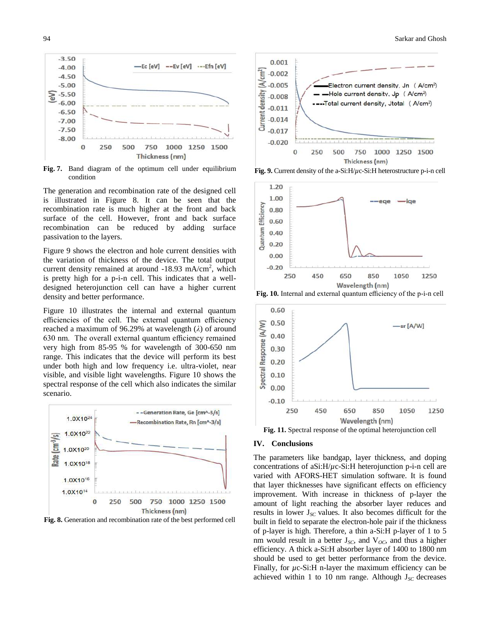

**Fig. 7.** Band diagram of the optimum cell under equilibrium condition

The generation and recombination rate of the designed cell is illustrated in Figure 8. It can be seen that the recombination rate is much higher at the front and back surface of the cell. However, front and back surface recombination can be reduced by adding surface passivation to the layers.

Figure 9 shows the electron and hole current densities with the variation of thickness of the device. The total output current density remained at around -18.93 mA/cm<sup>2</sup>, which is pretty high for a p-i-n cell. This indicates that a welldesigned heterojunction cell can have a higher current density and better performance.

Figure 10 illustrates the internal and external quantum efficiencies of the cell. The external quantum efficiency reached a maximum of 96.29% at wavelength (*λ*) of around 630 nm. The overall external quantum efficiency remained very high from 85-95 % for wavelength of 300-650 nm range. This indicates that the device will perform its best under both high and low frequency i.e. ultra-violet, near visible, and visible light wavelengths. Figure 10 shows the spectral response of the cell which also indicates the similar scenario.



**Fig. 8.** Generation and recombination rate of the best performed cell



**Fig. 9.** Current density of the a-Si:H/*µ*c-Si:H heterostructure p-i-n cell







## **IV. Conclusions**

The parameters like bandgap, layer thickness, and doping concentrations of aSi:H/*µ*c-Si:H heterojunction p-i-n cell are varied with AFORS-HET simulation software. It is found that layer thicknesses have significant effects on efficiency improvement. With increase in thickness of p-layer the amount of light reaching the absorber layer reduces and results in lower J*SC* values. It also becomes difficult for the built in field to separate the electron-hole pair if the thickness of p-layer is high. Therefore, a thin a-Si:H p-layer of 1 to 5 nm would result in a better  $J_{SC}$ , and  $V_{OC}$ , and thus a higher efficiency. A thick a-Si:H absorber layer of 1400 to 1800 nm should be used to get better performance from the device. Finally, for  $\mu$ c-Si:H n-layer the maximum efficiency can be achieved within 1 to 10 nm range. Although  $J_{SC}$  decreases